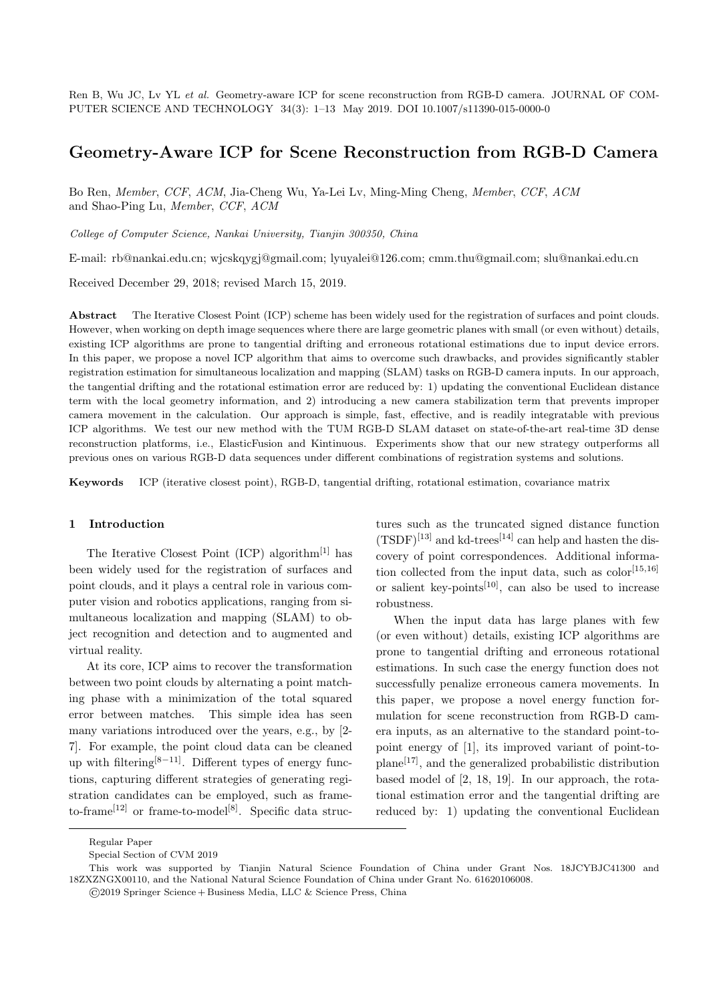Ren B, Wu JC, Lv YL *et al.* Geometry-aware ICP for scene reconstruction from RGB-D camera. JOURNAL OF COM-PUTER SCIENCE AND TECHNOLOGY 34(3): 1–13 May 2019. DOI 10.1007/s11390-015-0000-0

# **Geometry-Aware ICP for Scene Reconstruction from RGB-D Camera**

Bo Ren, *Member*, *CCF*, *ACM*, Jia-Cheng Wu, Ya-Lei Lv, Ming-Ming Cheng, *Member*, *CCF*, *ACM* and Shao-Ping Lu, *Member*, *CCF*, *ACM*

*College of Computer Science, Nankai University, Tianjin 300350, China*

E-mail: rb@nankai.edu.cn; wjcskqygj@gmail.com; lyuyalei@126.com; cmm.thu@gmail.com; slu@nankai.edu.cn

Received December 29, 2018; revised March 15, 2019.

**Abstract** The Iterative Closest Point (ICP) scheme has been widely used for the registration of surfaces and point clouds. However, when working on depth image sequences where there are large geometric planes with small (or even without) details, existing ICP algorithms are prone to tangential drifting and erroneous rotational estimations due to input device errors. In this paper, we propose a novel ICP algorithm that aims to overcome such drawbacks, and provides significantly stabler registration estimation for simultaneous localization and mapping (SLAM) tasks on RGB-D camera inputs. In our approach, the tangential drifting and the rotational estimation error are reduced by: 1) updating the conventional Euclidean distance term with the local geometry information, and 2) introducing a new camera stabilization term that prevents improper camera movement in the calculation. Our approach is simple, fast, effective, and is readily integratable with previous ICP algorithms. We test our new method with the TUM RGB-D SLAM dataset on state-of-the-art real-time 3D dense reconstruction platforms, i.e., ElasticFusion and Kintinuous. Experiments show that our new strategy outperforms all previous ones on various RGB-D data sequences under different combinations of registration systems and solutions.

**Keywords** ICP (iterative closest point), RGB-D, tangential drifting, rotational estimation, covariance matrix

### **1 Introduction**

The Iterative Closest Point  $(ICP)$  algorithm<sup>[1]</sup> has been widely used for the registration of surfaces and point clouds, and it plays a central role in various computer vision and robotics applications, ranging from simultaneous localization and mapping (SLAM) to object recognition and detection and to augmented and virtual reality.

At its core, ICP aims to recover the transformation between two point clouds by alternating a point matching phase with a minimization of the total squared error between matches. This simple idea has seen many variations introduced over the years, e.g., by [2- 7]. For example, the point cloud data can be cleaned up with filtering[8*−*11]. Different types of energy functions, capturing different strategies of generating registration candidates can be employed, such as frameto-frame<sup>[12]</sup> or frame-to-model<sup>[8]</sup>. Specific data structures such as the truncated signed distance function  $(TSDF)^{[13]}$  and kd-trees<sup>[14]</sup> can help and hasten the discovery of point correspondences. Additional information collected from the input data, such as  $color^{[15,16]}$ or salient key-points<sup>[10]</sup>, can also be used to increase robustness.

When the input data has large planes with few (or even without) details, existing ICP algorithms are prone to tangential drifting and erroneous rotational estimations. In such case the energy function does not successfully penalize erroneous camera movements. In this paper, we propose a novel energy function formulation for scene reconstruction from RGB-D camera inputs, as an alternative to the standard point-topoint energy of [1], its improved variant of point-toplane[17], and the generalized probabilistic distribution based model of [2, 18, 19]. In our approach, the rotational estimation error and the tangential drifting are reduced by: 1) updating the conventional Euclidean

Regular Paper

Special Section of CVM 2019

This work was supported by Tianjin Natural Science Foundation of China under Grant Nos. 18JCYBJC41300 and 18ZXZNGX00110, and the National Natural Science Foundation of China under Grant No. 61620106008.

<sup>©</sup>2019 Springer Science + Business Media, LLC & Science Press, China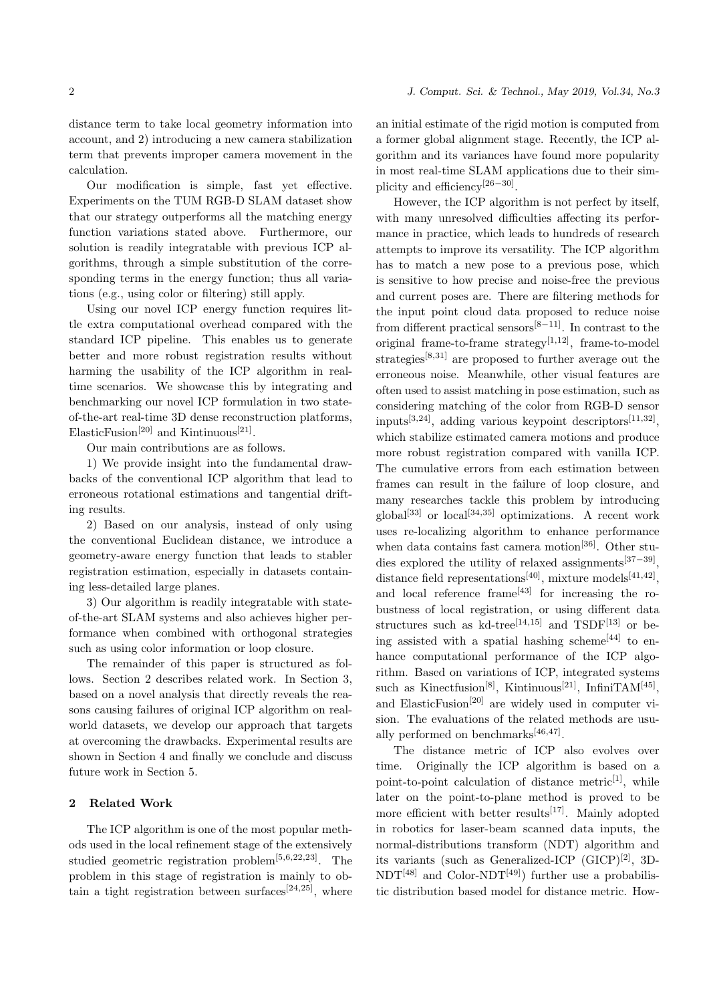distance term to take local geometry information into account, and 2) introducing a new camera stabilization term that prevents improper camera movement in the calculation.

Our modification is simple, fast yet effective. Experiments on the TUM RGB-D SLAM dataset show that our strategy outperforms all the matching energy function variations stated above. Furthermore, our solution is readily integratable with previous ICP algorithms, through a simple substitution of the corresponding terms in the energy function; thus all variations (e.g., using color or filtering) still apply.

Using our novel ICP energy function requires little extra computational overhead compared with the standard ICP pipeline. This enables us to generate better and more robust registration results without harming the usability of the ICP algorithm in realtime scenarios. We showcase this by integrating and benchmarking our novel ICP formulation in two stateof-the-art real-time 3D dense reconstruction platforms, ElasticFusion<sup>[20]</sup> and Kintinuous<sup>[21]</sup>.

Our main contributions are as follows.

1) We provide insight into the fundamental drawbacks of the conventional ICP algorithm that lead to erroneous rotational estimations and tangential drifting results.

2) Based on our analysis, instead of only using the conventional Euclidean distance, we introduce a geometry-aware energy function that leads to stabler registration estimation, especially in datasets containing less-detailed large planes.

3) Our algorithm is readily integratable with stateof-the-art SLAM systems and also achieves higher performance when combined with orthogonal strategies such as using color information or loop closure.

The remainder of this paper is structured as follows. Section 2 describes related work. In Section 3, based on a novel analysis that directly reveals the reasons causing failures of original ICP algorithm on realworld datasets, we develop our approach that targets at overcoming the drawbacks. Experimental results are shown in Section 4 and finally we conclude and discuss future work in Section 5.

# **2 Related Work**

The ICP algorithm is one of the most popular methods used in the local refinement stage of the extensively studied geometric registration problem[5*,*6*,*22*,*23]. The problem in this stage of registration is mainly to obtain a tight registration between surfaces<sup>[24,25]</sup>, where

an initial estimate of the rigid motion is computed from a former global alignment stage. Recently, the ICP algorithm and its variances have found more popularity in most real-time SLAM applications due to their simplicity and efficiency[26*−*30] .

However, the ICP algorithm is not perfect by itself, with many unresolved difficulties affecting its performance in practice, which leads to hundreds of research attempts to improve its versatility. The ICP algorithm has to match a new pose to a previous pose, which is sensitive to how precise and noise-free the previous and current poses are. There are filtering methods for the input point cloud data proposed to reduce noise from different practical sensors[8*−*11]. In contrast to the original frame-to-frame strategy[1*,*12], frame-to-model strategies[8*,*31] are proposed to further average out the erroneous noise. Meanwhile, other visual features are often used to assist matching in pose estimation, such as considering matching of the color from RGB-D sensor inputs[3*,*24], adding various keypoint descriptors[11*,*32] , which stabilize estimated camera motions and produce more robust registration compared with vanilla ICP. The cumulative errors from each estimation between frames can result in the failure of loop closure, and many researches tackle this problem by introducing global[33] or local[34*,*35] optimizations. A recent work uses re-localizing algorithm to enhance performance when data contains fast camera motion<sup>[36]</sup>. Other studies explored the utility of relaxed assignments[37*−*39] , distance field representations<sup>[40]</sup>, mixture models<sup>[41,42]</sup>, and local reference frame<sup>[43]</sup> for increasing the robustness of local registration, or using different data structures such as kd-tree<sup>[14,15]</sup> and TSDF<sup>[13]</sup> or being assisted with a spatial hashing scheme<sup>[44]</sup> to enhance computational performance of the ICP algorithm. Based on variations of ICP, integrated systems such as Kinectfusion<sup>[8]</sup>, Kintinuous<sup>[21]</sup>, InfiniTAM<sup>[45]</sup>, and ElasticFusion[20] are widely used in computer vision. The evaluations of the related methods are usually performed on benchmarks[46*,*47] .

The distance metric of ICP also evolves over time. Originally the ICP algorithm is based on a point-to-point calculation of distance metric<sup>[1]</sup>, while later on the point-to-plane method is proved to be more efficient with better results $[17]$ . Mainly adopted in robotics for laser-beam scanned data inputs, the normal-distributions transform (NDT) algorithm and its variants (such as Generalized-ICP  $(GICP)^{[2]}$ , 3D- $NDT^{[48]}$  and Color-NDT<sup>[49]</sup>) further use a probabilistic distribution based model for distance metric. How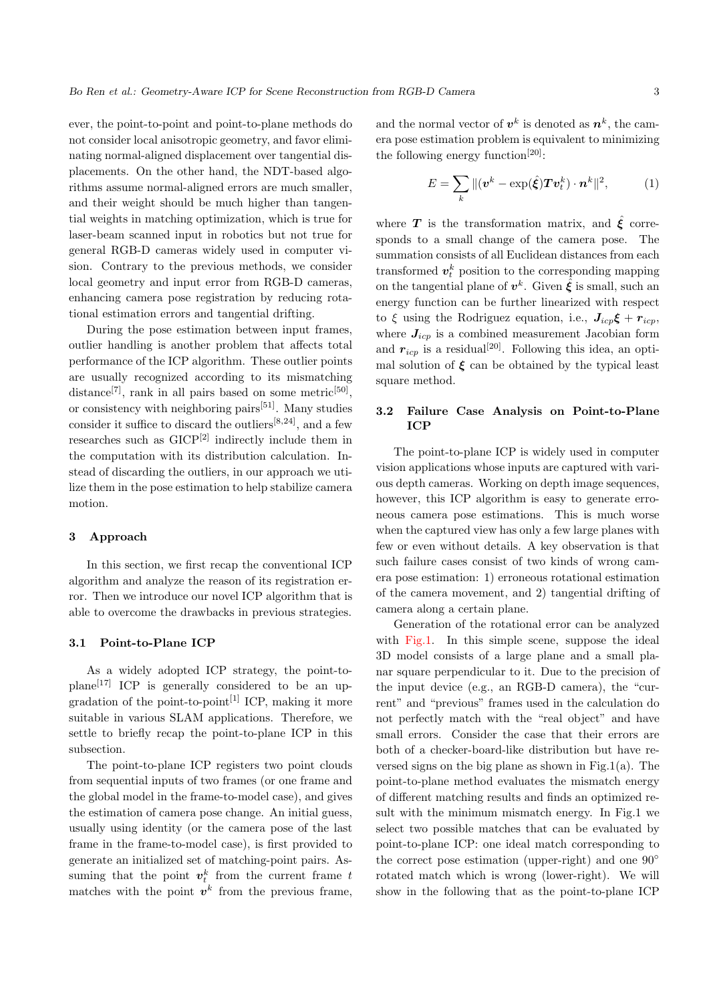ever, the point-to-point and point-to-plane methods do not consider local anisotropic geometry, and favor eliminating normal-aligned displacement over tangential displacements. On the other hand, the NDT-based algorithms assume normal-aligned errors are much smaller, and their weight should be much higher than tangential weights in matching optimization, which is true for laser-beam scanned input in robotics but not true for general RGB-D cameras widely used in computer vision. Contrary to the previous methods, we consider local geometry and input error from RGB-D cameras, enhancing camera pose registration by reducing rotational estimation errors and tangential drifting.

During the pose estimation between input frames, outlier handling is another problem that affects total performance of the ICP algorithm. These outlier points are usually recognized according to its mismatching distance<sup>[7]</sup>, rank in all pairs based on some metric<sup>[50]</sup>, or consistency with neighboring pairs $[51]$ . Many studies consider it suffice to discard the outliers[8*,*24], and a few researches such as  $GICP<sup>[2]</sup>$  indirectly include them in the computation with its distribution calculation. Instead of discarding the outliers, in our approach we utilize them in the pose estimation to help stabilize camera motion.

#### **3 Approach**

In this section, we first recap the conventional ICP algorithm and analyze the reason of its registration error. Then we introduce our novel ICP algorithm that is able to overcome the drawbacks in previous strategies.

## **3.1 Point-to-Plane ICP**

As a widely adopted ICP strategy, the point-to $plane^{[17]}$  ICP is generally considered to be an upgradation of the point-to-point<sup>[1]</sup> ICP, making it more suitable in various SLAM applications. Therefore, we settle to briefly recap the point-to-plane ICP in this subsection.

The point-to-plane ICP registers two point clouds from sequential inputs of two frames (or one frame and the global model in the frame-to-model case), and gives the estimation of camera pose change. An initial guess, usually using identity (or the camera pose of the last frame in the frame-to-model case), is first provided to generate an initialized set of matching-point pairs. Assuming that the point  $v_t^k$  from the current frame  $t$ matches with the point  $v^k$  from the previous frame,

and the normal vector of  $v^k$  is denoted as  $n^k$ , the camera pose estimation problem is equivalent to minimizing the following energy function<sup>[20]</sup>:

$$
E = \sum_{k} ||(\boldsymbol{v}^{k} - \exp(\hat{\boldsymbol{\xi}}) \boldsymbol{T} \boldsymbol{v}_{t}^{k}) \cdot \boldsymbol{n}^{k}||^{2}, \qquad (1)
$$

where **T** is the transformation matrix, and  $\hat{\boldsymbol{\xi}}$  corresponds to a small change of the camera pose. The summation consists of all Euclidean distances from each transformed  $v_t^k$  position to the corresponding mapping on the tangential plane of  $v^k$ . Given  $\hat{\xi}$  is small, such an energy function can be further linearized with respect to  $\xi$  using the Rodriguez equation, i.e.,  $J_{icp}\xi + r_{icp}$ , where  $J_{icp}$  is a combined measurement Jacobian form and  $r_{icp}$  is a residual<sup>[20]</sup>. Following this idea, an optimal solution of  $\xi$  can be obtained by the typical least square method.

# **3.2 Failure Case Analysis on Point-to-Plane ICP**

The point-to-plane ICP is widely used in computer vision applications whose inputs are captured with various depth cameras. Working on depth image sequences, however, this ICP algorithm is easy to generate erroneous camera pose estimations. This is much worse when the captured view has only a few large planes with few or even without details. A key observation is that such failure cases consist of two kinds of wrong camera pose estimation: 1) erroneous rotational estimation of the camera movement, and 2) tangential drifting of camera along a certain plane.

Generation of the rotational error can be analyzed with Fig.1. In this simple scene, suppose the ideal 3D model consists of a large plane and a small planar square perpendicular to it. Due to the precision of the input device (e.g., an RGB-D camera), the "current" and "previous" frames used in the calculation do not perfectly match with the "real object" and have small errors. Consider the case that their errors are both of a checker-board-like distribution but have reversed signs on the big plane as shown in Fig.1(a). The point-to-plane method evaluates the mismatch energy of different matching results and finds an optimized result with the minimum mismatch energy. In Fig.1 we select two possible matches that can be evaluated by point-to-plane ICP: one ideal match corresponding to the correct pose estimation (upper-right) and one 90*◦* rotated match which is wrong (lower-right). We will show in the following that as the point-to-plane ICP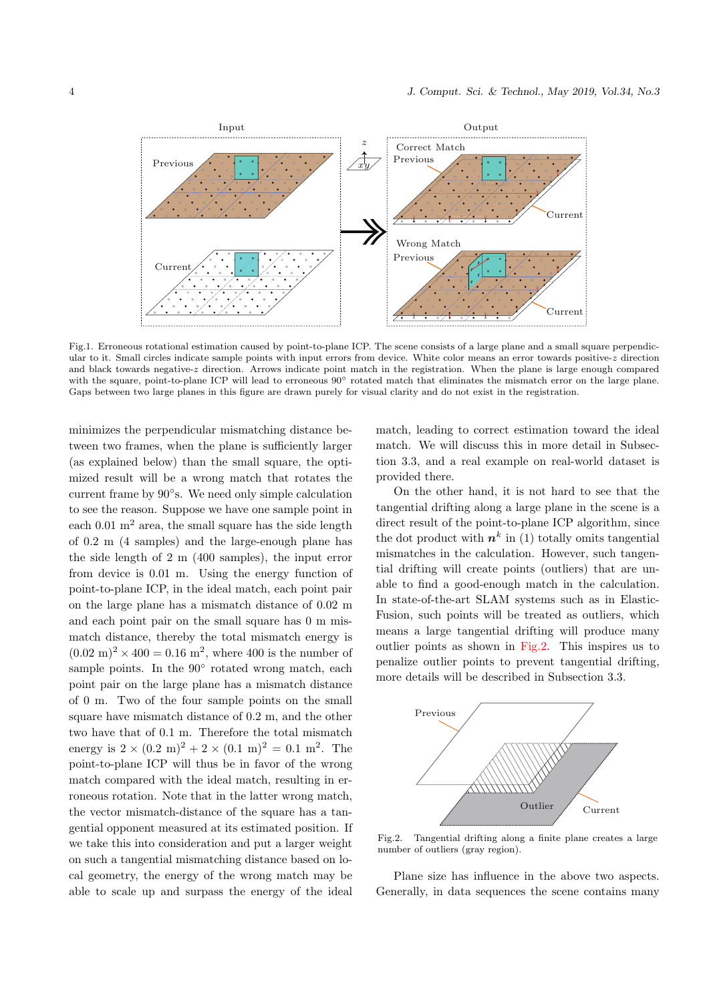

Fig.1. Erroneous rotational estimation caused by point-to-plane ICP. The scene consists of a large plane and a small square perpendicular to it. Small circles indicate sample points with input errors from device. White color means an error towards positive-*z* direction and black towards negative-*z* direction. Arrows indicate point match in the registration. When the plane is large enough compared with the square, point-to-plane ICP will lead to erroneous 90*◦* rotated match that eliminates the mismatch error on the large plane. Gaps between two large planes in this figure are drawn purely for visual clarity and do not exist in the registration.

minimizes the perpendicular mismatching distance between two frames, when the plane is sufficiently larger (as explained below) than the small square, the optimized result will be a wrong match that rotates the current frame by 90*◦* s. We need only simple calculation to see the reason. Suppose we have one sample point in each  $0.01 \text{ m}^2$  area, the small square has the side length of 0.2 m (4 samples) and the large-enough plane has the side length of 2 m (400 samples), the input error from device is 0.01 m. Using the energy function of point-to-plane ICP, in the ideal match, each point pair on the large plane has a mismatch distance of 0.02 m and each point pair on the small square has 0 m mismatch distance, thereby the total mismatch energy is  $(0.02 \text{ m})^2 \times 400 = 0.16 \text{ m}^2$ , where 400 is the number of sample points. In the 90<sup>°</sup> rotated wrong match, each point pair on the large plane has a mismatch distance of 0 m. Two of the four sample points on the small square have mismatch distance of 0.2 m, and the other two have that of 0.1 m. Therefore the total mismatch energy is  $2 \times (0.2 \text{ m})^2 + 2 \times (0.1 \text{ m})^2 = 0.1 \text{ m}^2$ . The point-to-plane ICP will thus be in favor of the wrong match compared with the ideal match, resulting in erroneous rotation. Note that in the latter wrong match, the vector mismatch-distance of the square has a tangential opponent measured at its estimated position. If we take this into consideration and put a larger weight on such a tangential mismatching distance based on local geometry, the energy of the wrong match may be able to scale up and surpass the energy of the ideal

match, leading to correct estimation toward the ideal match. We will discuss this in more detail in Subsection 3.3, and a real example on real-world dataset is provided there.

On the other hand, it is not hard to see that the tangential drifting along a large plane in the scene is a direct result of the point-to-plane ICP algorithm, since the dot product with  $n^k$  in (1) totally omits tangential mismatches in the calculation. However, such tangential drifting will create points (outliers) that are unable to find a good-enough match in the calculation. In state-of-the-art SLAM systems such as in Elastic-Fusion, such points will be treated as outliers, which means a large tangential drifting will produce many outlier points as shown in Fig.2. This inspires us to penalize outlier points to prevent tangential drifting, more details will be described in Subsection 3.3.



Fig.2. Tangential drifting along a finite plane creates a large number of outliers (gray region).

Plane size has influence in the above two aspects. Generally, in data sequences the scene contains many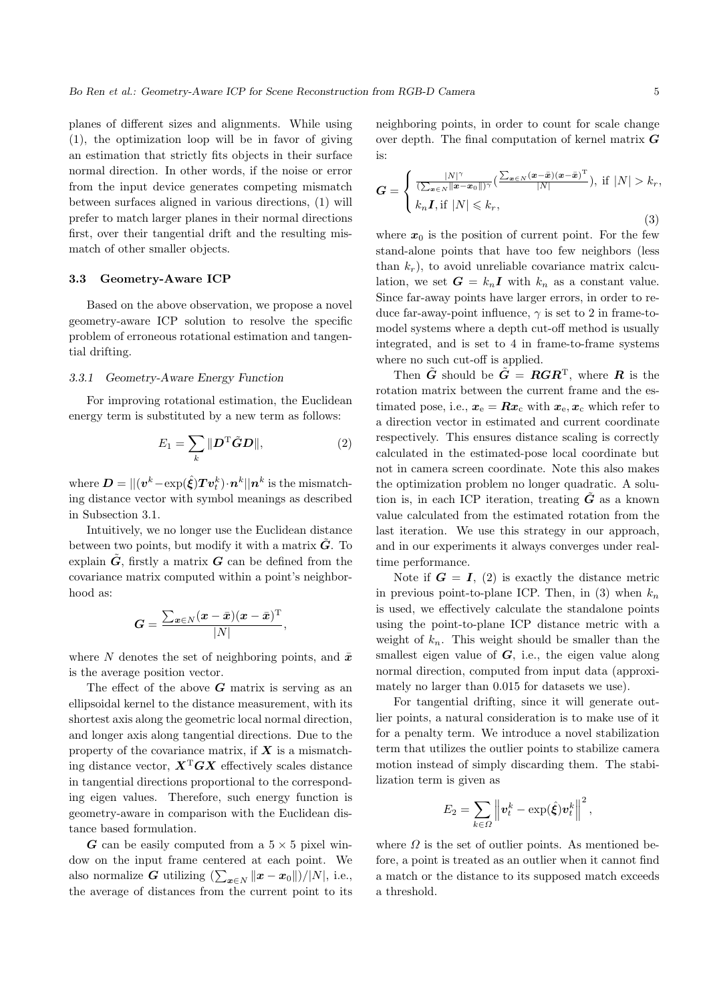planes of different sizes and alignments. While using (1), the optimization loop will be in favor of giving an estimation that strictly fits objects in their surface normal direction. In other words, if the noise or error from the input device generates competing mismatch between surfaces aligned in various directions, (1) will prefer to match larger planes in their normal directions first, over their tangential drift and the resulting mismatch of other smaller objects.

### **3.3 Geometry-Aware ICP**

Based on the above observation, we propose a novel geometry-aware ICP solution to resolve the specific problem of erroneous rotational estimation and tangential drifting.

### *3.3.1 Geometry-Aware Energy Function*

For improving rotational estimation, the Euclidean energy term is substituted by a new term as follows:

$$
E_1 = \sum_k \|\mathbf{D}^{\mathrm{T}}\tilde{\mathbf{G}}\mathbf{D}\|,\tag{2}
$$

 $\bm{D} = ||(\bm{v}^k\!-\!\exp(\hat{\bm{\xi}})\bm{T}\bm{v}_t^k)\!\cdot\!\bm{n}^k||\bm{n}^k \text{ is the mismatch-}$ ing distance vector with symbol meanings as described in Subsection 3.1.

Intuitively, we no longer use the Euclidean distance between two points, but modify it with a matrix  $G$ . To explain  $G$ , firstly a matrix  $G$  can be defined from the covariance matrix computed within a point's neighborhood as:

$$
G = \frac{\sum_{\boldsymbol{x} \in N} (\boldsymbol{x} - \bar{\boldsymbol{x}}) (\boldsymbol{x} - \bar{\boldsymbol{x}})^{\mathrm{T}}}{|N|},
$$

where *N* denotes the set of neighboring points, and  $\bar{x}$ is the average position vector.

The effect of the above *G* matrix is serving as an ellipsoidal kernel to the distance measurement, with its shortest axis along the geometric local normal direction, and longer axis along tangential directions. Due to the property of the covariance matrix, if *X* is a mismatching distance vector,  $X^T G X$  effectively scales distance in tangential directions proportional to the corresponding eigen values. Therefore, such energy function is geometry-aware in comparison with the Euclidean distance based formulation.

*G* can be easily computed from a  $5 \times 5$  pixel window on the input frame centered at each point. We also normalize *G* utilizing  $(\sum_{\mathbf{x} \in N} ||\mathbf{x} - \mathbf{x}_0||)/|N|$ , i.e., the average of distances from the current point to its

neighboring points, in order to count for scale change over depth. The final computation of kernel matrix *G* is:

$$
G = \begin{cases} \frac{|N|^\gamma}{(\sum_{x \in N} ||x - x_0||)^\gamma} (\frac{\sum_{x \in N} (x - \bar{x})(x - \bar{x})^\mathrm{T}}{|N|}), & \text{if } |N| > k_r, \\ k_n I, & \text{if } |N| \leq k_r, \end{cases}
$$
(3)

where  $x_0$  is the position of current point. For the few stand-alone points that have too few neighbors (less than  $k_r$ ), to avoid unreliable covariance matrix calculation, we set  $G = k_n I$  with  $k_n$  as a constant value. Since far-away points have larger errors, in order to reduce far-away-point influence, *γ* is set to 2 in frame-tomodel systems where a depth cut-off method is usually integrated, and is set to 4 in frame-to-frame systems where no such cut-off is applied.

Then  $\tilde{G}$  should be  $\tilde{G} = RGR^{\mathrm{T}}$ , where **R** is the rotation matrix between the current frame and the estimated pose, i.e.,  $x_e = Rx_c$  with  $x_e, x_c$  which refer to a direction vector in estimated and current coordinate respectively. This ensures distance scaling is correctly calculated in the estimated-pose local coordinate but not in camera screen coordinate. Note this also makes the optimization problem no longer quadratic. A solution is, in each ICP iteration, treating  $\tilde{G}$  as a known value calculated from the estimated rotation from the last iteration. We use this strategy in our approach, and in our experiments it always converges under realtime performance.

Note if  $G = I$ , (2) is exactly the distance metric in previous point-to-plane ICP. Then, in  $(3)$  when  $k_n$ is used, we effectively calculate the standalone points using the point-to-plane ICP distance metric with a weight of  $k_n$ . This weight should be smaller than the smallest eigen value of *G*, i.e., the eigen value along normal direction, computed from input data (approximately no larger than 0.015 for datasets we use).

For tangential drifting, since it will generate outlier points, a natural consideration is to make use of it for a penalty term. We introduce a novel stabilization term that utilizes the outlier points to stabilize camera motion instead of simply discarding them. The stabilization term is given as

$$
E_2 = \sum_{k \in \Omega} \left\| \boldsymbol{v}_t^k - \exp(\hat{\boldsymbol{\xi}}) \boldsymbol{v}_t^k \right\|^2,
$$

where  $\Omega$  is the set of outlier points. As mentioned before, a point is treated as an outlier when it cannot find a match or the distance to its supposed match exceeds a threshold.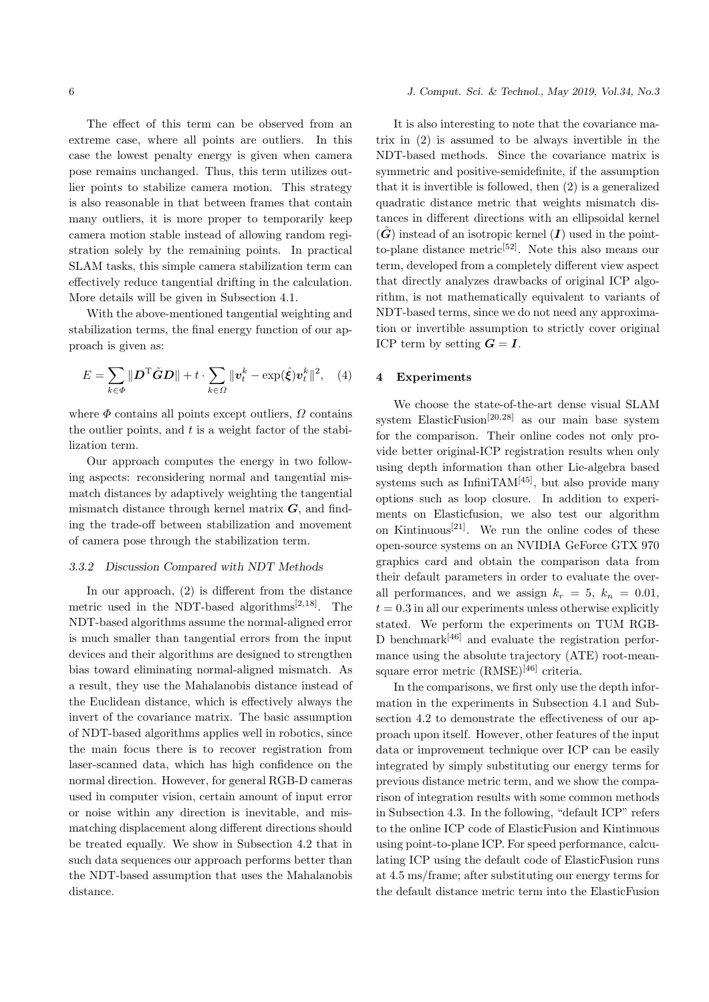The effect of this term can be observed from an extreme case, where all points are outliers. In this case the lowest penalty energy is given when camera pose remains unchanged. Thus, this term utilizes outlier points to stabilize camera motion. This strategy

is also reasonable in that between frames that contain many outliers, it is more proper to temporarily keep camera motion stable instead of allowing random registration solely by the remaining points. In practical SLAM tasks, this simple camera stabilization term can effectively reduce tangential drifting in the calculation. More details will be given in Subsection 4.1.

With the above-mentioned tangential weighting and stabilization terms, the final energy function of our approach is given as:

$$
E = \sum_{k \in \Phi} ||\mathbf{D}^{\mathrm{T}} \tilde{\mathbf{G}} \mathbf{D}|| + t \cdot \sum_{k \in \Omega} ||\mathbf{v}_t^k - \exp(\hat{\xi}) \mathbf{v}_t^k||^2, \quad (4)
$$

where  $\Phi$  contains all points except outliers,  $\Omega$  contains the outlier points, and *t* is a weight factor of the stabilization term.

Our approach computes the energy in two following aspects: reconsidering normal and tangential mismatch distances by adaptively weighting the tangential mismatch distance through kernel matrix *G*, and finding the trade-off between stabilization and movement of camera pose through the stabilization term.

# *3.3.2 Discussion Compared with NDT Methods*

In our approach, (2) is different from the distance metric used in the NDT-based algorithms[2*,*18]. The NDT-based algorithms assume the normal-aligned error is much smaller than tangential errors from the input devices and their algorithms are designed to strengthen bias toward eliminating normal-aligned mismatch. As a result, they use the Mahalanobis distance instead of the Euclidean distance, which is effectively always the invert of the covariance matrix. The basic assumption of NDT-based algorithms applies well in robotics, since the main focus there is to recover registration from laser-scanned data, which has high confidence on the normal direction. However, for general RGB-D cameras used in computer vision, certain amount of input error or noise within any direction is inevitable, and mismatching displacement along different directions should be treated equally. We show in Subsection 4.2 that in such data sequences our approach performs better than the NDT-based assumption that uses the Mahalanobis distance.

#### 6 *J. Comput. Sci. & Technol., May 2019, Vol.34, No.3*

It is also interesting to note that the covariance matrix in (2) is assumed to be always invertible in the NDT-based methods. Since the covariance matrix is symmetric and positive-semidefinite, if the assumption that it is invertible is followed, then (2) is a generalized quadratic distance metric that weights mismatch distances in different directions with an ellipsoidal kernel  $(\tilde{G})$  instead of an isotropic kernel  $(I)$  used in the pointto-plane distance metric<sup>[52]</sup>. Note this also means our term, developed from a completely different view aspect that directly analyzes drawbacks of original ICP algorithm, is not mathematically equivalent to variants of NDT-based terms, since we do not need any approximation or invertible assumption to strictly cover original ICP term by setting  $G = I$ .

# **4 Experiments**

We choose the state-of-the-art dense visual SLAM system ElasticFusion[20*,*28] as our main base system for the comparison. Their online codes not only provide better original-ICP registration results when only using depth information than other Lie-algebra based systems such as InfiniTA $M^{[45]}$ , but also provide many options such as loop closure. In addition to experiments on Elasticfusion, we also test our algorithm on Kintinuous<sup>[21]</sup>. We run the online codes of these open-source systems on an NVIDIA GeForce GTX 970 graphics card and obtain the comparison data from their default parameters in order to evaluate the overall performances, and we assign  $k_r = 5$ ,  $k_n = 0.01$ ,  $t = 0.3$  in all our experiments unless otherwise explicitly stated. We perform the experiments on TUM RGB-D benchmark<sup>[46]</sup> and evaluate the registration performance using the absolute trajectory (ATE) root-meansquare error metric  $(RMSE)^{[46]}$  criteria.

In the comparisons, we first only use the depth information in the experiments in Subsection 4.1 and Subsection 4.2 to demonstrate the effectiveness of our approach upon itself. However, other features of the input data or improvement technique over ICP can be easily integrated by simply substituting our energy terms for previous distance metric term, and we show the comparison of integration results with some common methods in Subsection 4.3. In the following, "default ICP" refers to the online ICP code of ElasticFusion and Kintinuous using point-to-plane ICP. For speed performance, calculating ICP using the default code of ElasticFusion runs at 4.5 ms/frame; after substituting our energy terms for the default distance metric term into the ElasticFusion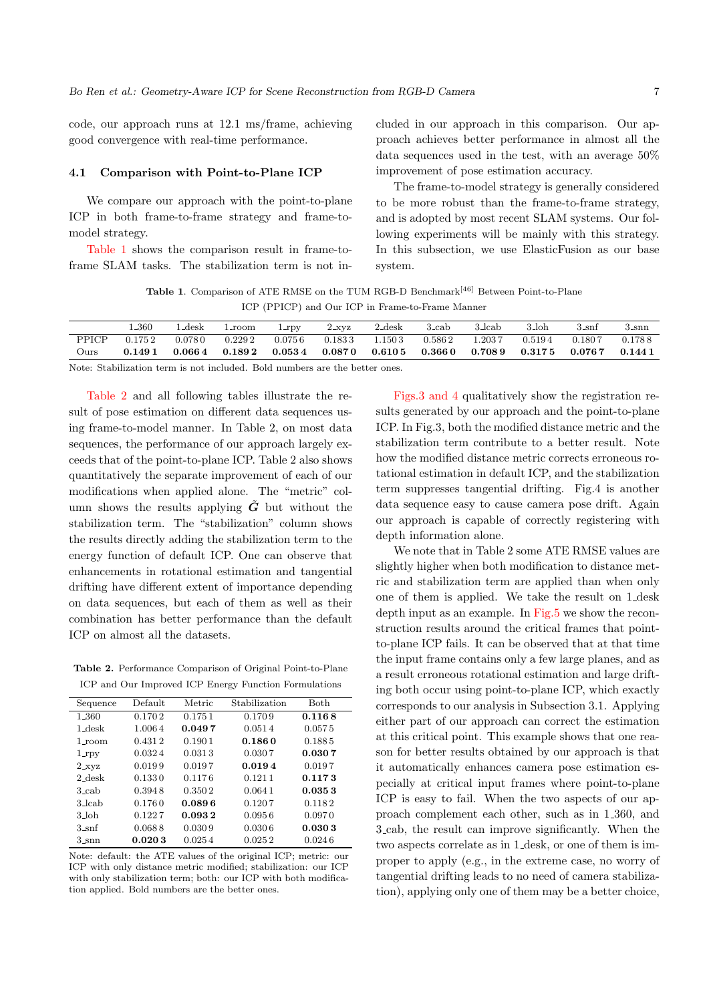code, our approach runs at 12.1 ms/frame, achieving good convergence with real-time performance.

#### **4.1 Comparison with Point-to-Plane ICP**

We compare our approach with the point-to-plane ICP in both frame-to-frame strategy and frame-tomodel strategy.

Table 1 shows the comparison result in frame-toframe SLAM tasks. The stabilization term is not included in our approach in this comparison. Our approach achieves better performance in almost all the data sequences used in the test, with an average 50% improvement of pose estimation accuracy.

The frame-to-model strategy is generally considered to be more robust than the frame-to-frame strategy, and is adopted by most recent SLAM systems. Our following experiments will be mainly with this strategy. In this subsection, we use ElasticFusion as our base system.

**Table 1**. Comparison of ATE RMSE on the TUM RGB-D Benchmark[46] Between Point-to-Plane ICP (PPICP) and Our ICP in Frame-to-Frame Manner

|       | .360   | ∟desk  | 1_room | $1$ rpv    | $2_{\rm XVZ}$ | 2_desk         | 3 cab      | 3_lcab  | 3.loh      | $3\text{snf}$ | $3_{\rm Snn}$ |
|-------|--------|--------|--------|------------|---------------|----------------|------------|---------|------------|---------------|---------------|
| PPICP | 0.1752 | 0.0780 | 0.2292 | $0.075\,6$ | 0.1833        | 1.1503         | 0.5862     | 1.203.7 | 0.5194     | 0.1807        | 0.1788        |
| Ours  | 0.1491 | 0.0664 | 0.1892 | 0.0534     | $0.087\,0$    | $\,0.610\,5\,$ | $0.366\,0$ | 0.7089  | $0.317\,5$ | 0.0767        | 0.1441        |
|       |        |        |        |            |               |                |            |         |            |               |               |

Note: Stabilization term is not included. Bold numbers are the better ones.

Table 2 and all following tables illustrate the result of pose estimation on different data sequences using frame-to-model manner. In Table 2, on most data sequences, the performance of our approach largely exceeds that of the point-to-plane ICP. Table 2 also shows quantitatively the separate improvement of each of our modifications when applied alone. The "metric" column shows the results applying  $\tilde{G}$  but without the stabilization term. The "stabilization" column shows the results directly adding the stabilization term to the energy function of default ICP. One can observe that enhancements in rotational estimation and tangential drifting have different extent of importance depending on data sequences, but each of them as well as their combination has better performance than the default ICP on almost all the datasets.

**Table 2.** Performance Comparison of Original Point-to-Plane ICP and Our Improved ICP Energy Function Formulations

| Sequence           | Default | Metric | Stabilization | <b>Both</b> |  |  |  |  |  |
|--------------------|---------|--------|---------------|-------------|--|--|--|--|--|
| 1.360              | 0.1702  | 0.1751 | 0.1709        | 0.1168      |  |  |  |  |  |
| $1$ desk           | 1.0064  | 0.0497 | 0.0514        | 0.0575      |  |  |  |  |  |
| $1$ -room          | 0.4312  | 0.1901 | 0.1860        | 0.1885      |  |  |  |  |  |
| $1_{\text{.}rpv}$  | 0.0324  | 0.0313 | 0.0307        | 0.0307      |  |  |  |  |  |
| $2_{\text{XYZ}}$   | 0.0199  | 0.0197 | 0.0194        | 0.0197      |  |  |  |  |  |
| $2$ -desk          | 0.1330  | 0.1176 | 0.1211        | 0.1173      |  |  |  |  |  |
| $3$ <sub>cab</sub> | 0.3948  | 0.3502 | 0.0641        | 0.0353      |  |  |  |  |  |
| 3                  | 0.1760  | 0.0896 | 0.1207        | 0.1182      |  |  |  |  |  |
| 3_loh              | 0.1227  | 0.0932 | 0.0956        | 0.0970      |  |  |  |  |  |
| 3 <sub>snf</sub>   | 0.0688  | 0.0309 | 0.0306        | 0.0303      |  |  |  |  |  |
| $3_{-}$ snn        | 0.0203  | 0.0254 | 0.0252        | 0.0246      |  |  |  |  |  |

Note: default: the ATE values of the original ICP; metric: our ICP with only distance metric modified; stabilization: our ICP with only stabilization term; both: our ICP with both modification applied. Bold numbers are the better ones.

Figs.3 and 4 qualitatively show the registration results generated by our approach and the point-to-plane ICP. In Fig.3, both the modified distance metric and the stabilization term contribute to a better result. Note how the modified distance metric corrects erroneous rotational estimation in default ICP, and the stabilization term suppresses tangential drifting. Fig.4 is another data sequence easy to cause camera pose drift. Again our approach is capable of correctly registering with depth information alone.

We note that in Table 2 some ATE RMSE values are slightly higher when both modification to distance metric and stabilization term are applied than when only one of them is applied. We take the result on 1 desk depth input as an example. In Fig.5 we show the reconstruction results around the critical frames that pointto-plane ICP fails. It can be observed that at that time the input frame contains only a few large planes, and as a result erroneous rotational estimation and large drifting both occur using point-to-plane ICP, which exactly corresponds to our analysis in Subsection 3.1. Applying either part of our approach can correct the estimation at this critical point. This example shows that one reason for better results obtained by our approach is that it automatically enhances camera pose estimation especially at critical input frames where point-to-plane ICP is easy to fail. When the two aspects of our approach complement each other, such as in 1 360, and 3 cab, the result can improve significantly. When the two aspects correlate as in 1 desk, or one of them is improper to apply (e.g., in the extreme case, no worry of tangential drifting leads to no need of camera stabilization), applying only one of them may be a better choice,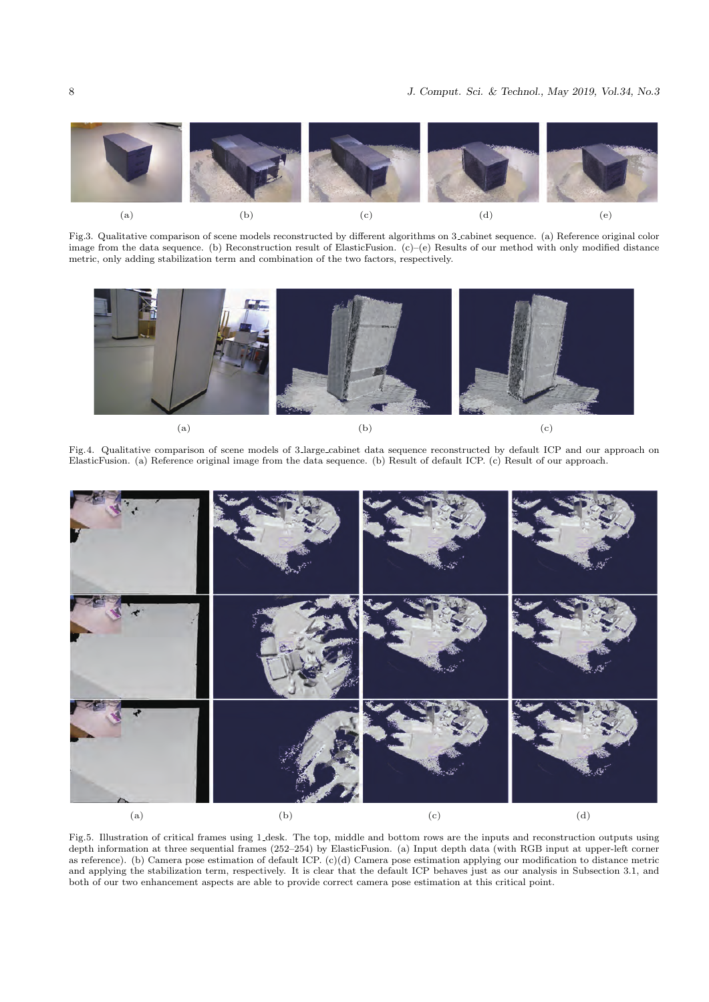

Fig.3. Qualitative comparison of scene models reconstructed by different algorithms on 3 cabinet sequence. (a) Reference original color image from the data sequence. (b) Reconstruction result of ElasticFusion. (c)–(e) Results of our method with only modified distance metric, only adding stabilization term and combination of the two factors, respectively.



Fig.4. Qualitative comparison of scene models of 3 large cabinet data sequence reconstructed by default ICP and our approach on ElasticFusion. (a) Reference original image from the data sequence. (b) Result of default ICP. (c) Result of our approach.



Fig.5. Illustration of critical frames using 1 desk. The top, middle and bottom rows are the inputs and reconstruction outputs using depth information at three sequential frames (252–254) by ElasticFusion. (a) Input depth data (with RGB input at upper-left corner as reference). (b) Camera pose estimation of default ICP. (c)(d) Camera pose estimation applying our modification to distance metric and applying the stabilization term, respectively. It is clear that the default ICP behaves just as our analysis in Subsection 3.1, and both of our two enhancement aspects are able to provide correct camera pose estimation at this critical point.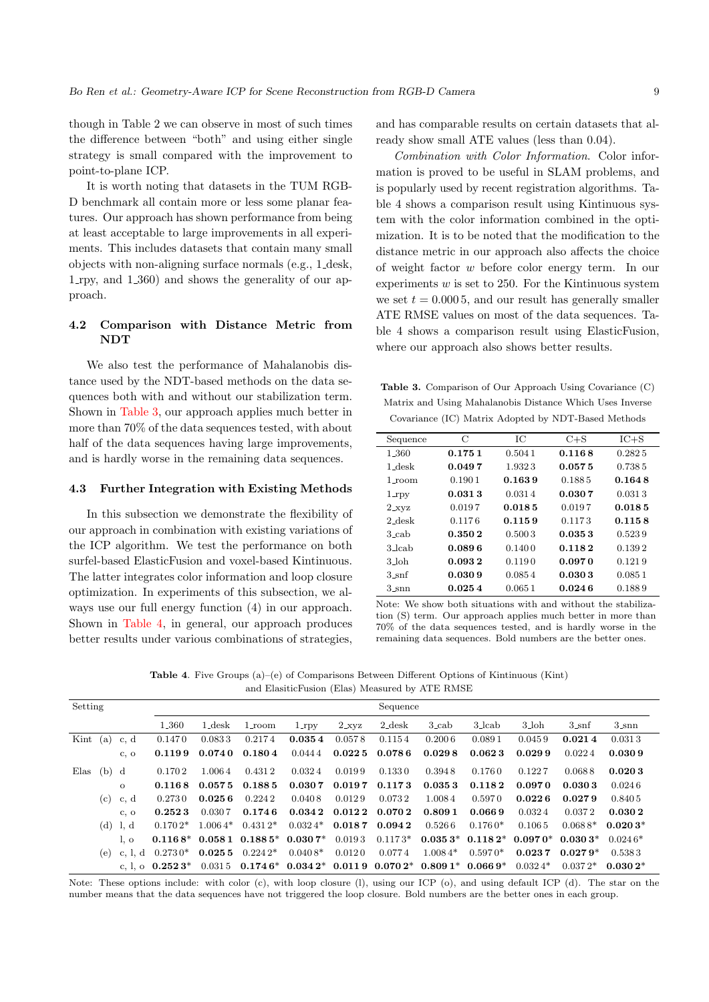though in Table 2 we can observe in most of such times the difference between "both" and using either single strategy is small compared with the improvement to point-to-plane ICP.

It is worth noting that datasets in the TUM RGB-D benchmark all contain more or less some planar features. Our approach has shown performance from being at least acceptable to large improvements in all experiments. This includes datasets that contain many small objects with non-aligning surface normals (e.g., 1 desk, 1 rpy, and 1 360) and shows the generality of our approach.

# **4.2 Comparison with Distance Metric from NDT**

We also test the performance of Mahalanobis distance used by the NDT-based methods on the data sequences both with and without our stabilization term. Shown in Table 3, our approach applies much better in more than 70% of the data sequences tested, with about half of the data sequences having large improvements, and is hardly worse in the remaining data sequences.

### **4.3 Further Integration with Existing Methods**

In this subsection we demonstrate the flexibility of our approach in combination with existing variations of the ICP algorithm. We test the performance on both surfel-based ElasticFusion and voxel-based Kintinuous. The latter integrates color information and loop closure optimization. In experiments of this subsection, we always use our full energy function (4) in our approach. Shown in Table 4, in general, our approach produces better results under various combinations of strategies,

and has comparable results on certain datasets that already show small ATE values (less than 0.04).

*Combination with Color Information*. Color information is proved to be useful in SLAM problems, and is popularly used by recent registration algorithms. Table 4 shows a comparison result using Kintinuous system with the color information combined in the optimization. It is to be noted that the modification to the distance metric in our approach also affects the choice of weight factor *w* before color energy term. In our experiments *w* is set to 250. For the Kintinuous system we set  $t = 0.0005$ , and our result has generally smaller ATE RMSE values on most of the data sequences. Table 4 shows a comparison result using ElasticFusion, where our approach also shows better results.

**Table 3.** Comparison of Our Approach Using Covariance (C) Matrix and Using Mahalanobis Distance Which Uses Inverse Covariance (IC) Matrix Adopted by NDT-Based Methods

| Sequence        | С      | IС     | $C + S$ | $IC + S$ |
|-----------------|--------|--------|---------|----------|
| 1.360           | 0.1751 | 0.5041 | 0.1168  | 0.282.5  |
| $1$ desk        | 0.0497 | 1.9323 | 0.0575  | 0.7385   |
| 1_room          | 0.1901 | 0.1639 | 0.1885  | 0.1648   |
| $1$ rpy         | 0.0313 | 0.0314 | 0.0307  | 0.0313   |
| $2_{\rm{.XYZ}}$ | 0.0197 | 0.0185 | 0.0197  | 0.0185   |
| $2$ desk        | 0.1176 | 0.1159 | 0.1173  | 0.1158   |
| 3 cab           | 0.3502 | 0.5003 | 0.0353  | 0.5239   |
| 3 lcab          | 0.0896 | 0.1400 | 0.1182  | 0.1392   |
| 3_loh           | 0.0932 | 0.1190 | 0.0970  | 0.1219   |
| $3$ _snf        | 0.0309 | 0.0854 | 0.0303  | 0.0851   |
| 3 snn           | 0.0254 | 0.0651 | 0.0246  | 0.1889   |

Note: We show both situations with and without the stabilization (S) term. Our approach applies much better in more than 70% of the data sequences tested, and is hardly worse in the remaining data sequences. Bold numbers are the better ones.

**Table 4**. Five Groups (a)–(e) of Comparisons Between Different Options of Kintinuous (Kint) and ElasiticFusion (Elas) Measured by ATE RMSE

| Setting                   |     |            | Sequence           |           |                    |                              |               |                    |                                                                     |                                      |           |                    |             |
|---------------------------|-----|------------|--------------------|-----------|--------------------|------------------------------|---------------|--------------------|---------------------------------------------------------------------|--------------------------------------|-----------|--------------------|-------------|
|                           |     |            | 1.360              | $1$ -desk | $1$ -room          | $1$ -rpy                     | $2_{\rm XVZ}$ | 2 <sub>-desk</sub> | $3$ <sub>cab</sub>                                                  | $3$ -lcab                            | 3_loh     | $3\text{-snf}$     | $3_{-}$ snn |
| $\text{Kint}(\mathbf{a})$ |     | c, d       | 0.1470             | 0.0833    | 0.2174             | 0.0354                       | 0.0578        | 0.1154             | 0.2006                                                              | 0.0891                               | 0.0459    | 0.0214             | 0.0313      |
|                           |     | c, o       | 0.1199             | 0.0740    | 0.1804             | 0.0444                       | 0.0225        | 0.0786             | 0.0298                                                              | 0.0623                               | 0.0299    | 0.0224             | 0.0309      |
| Elas $(b)$ d              |     |            | 0.170 2            | 1.0064    | 0.4312             | 0.0324                       | 0.0199        | 0.1330             | 0.3948                                                              | 0.1760                               | 0.1227    | 0.0688             | 0.0203      |
|                           |     | $\Omega$   | 0.1168             | 0.0575    | 0.1885             | 0.0307                       | 0.0197        | $0.117\,3$         | 0.0353                                                              | 0.1182                               | 0.0970    | 0.0303             | 0.0246      |
|                           | (c) | c, d       | 0.2730             | 0.0256    | 0.2242             | 0.0408                       | 0.0129        | 0.0732             | 1.0084                                                              | 0.5970                               | 0.0226    | 0.0279             | 0.8405      |
|                           |     | $c. \circ$ | 0.2523             | 0.030.7   | 0.1746             | $0.034\,2$                   | 0.0122        | 0.0702             | 0.8091                                                              | 0.0669                               | 0.0324    | 0.0372             | 0.0302      |
|                           |     | $(d)$ l, d | $0.1702*$          | $1.0064*$ | $0.431\,2*$        | $0.0324*$                    |               | $0.0187$ $0.0942$  | 0.5266                                                              | $0.1760*$                            | 0.1065    | $0.0688*$          | $0.0203*$   |
|                           |     | 1.0        | $0.1168*$          |           |                    | $0.0581$ $0.1885*$ $0.0307*$ | 0.0193        | $0.1173*$          |                                                                     | $0.0353*$ 0.118 2* 0.097 0* 0.030 3* |           |                    | $0.0246*$   |
|                           | (e) | c, l, d    | $0.2730*$          |           | $0.0255$ $0.2242*$ | $0.0408*$                    | 0.0120        | 0.0774             | $1.0084*$                                                           | $0.5970*$                            |           | $0.0237$ $0.0279*$ | 0.5383      |
|                           |     |            | c, l, o $0.2523^*$ |           |                    |                              |               |                    | $0.0315$ $0.1746*$ $0.0342*$ $0.0119$ $0.0702*$ $0.8091*$ $0.0669*$ |                                      | $0.0324*$ | $0.0372*$          | $0.0302*$   |

Note: These options include: with color (c), with loop closure (l), using our ICP (o), and using default ICP (d). The star on the number means that the data sequences have not triggered the loop closure. Bold numbers are the better ones in each group.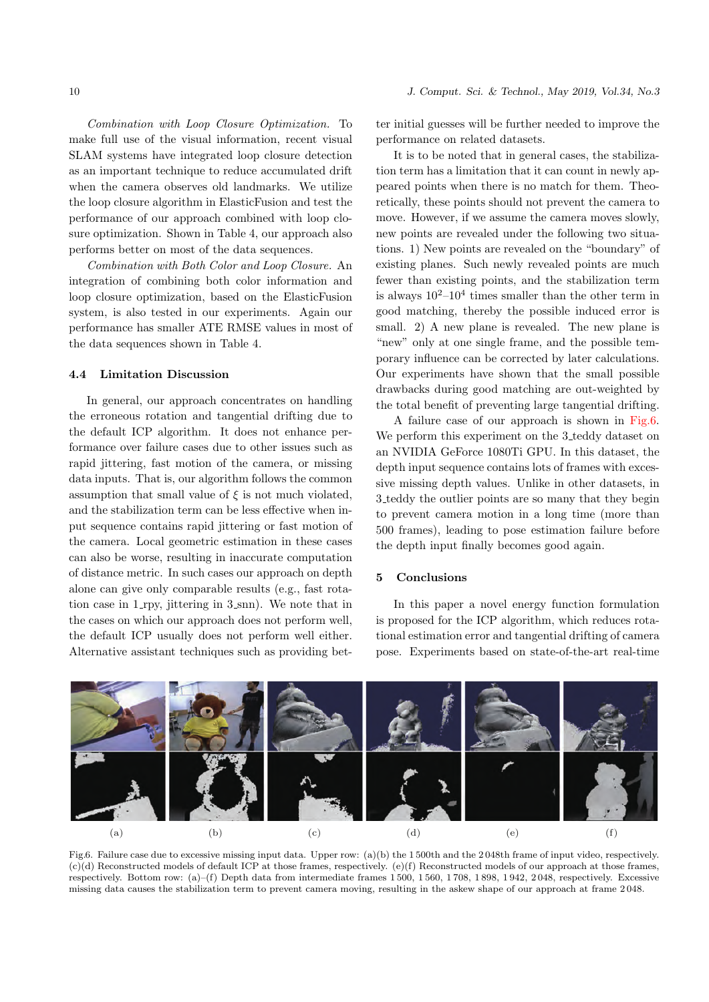*Combination with Loop Closure Optimization.* To make full use of the visual information, recent visual SLAM systems have integrated loop closure detection as an important technique to reduce accumulated drift when the camera observes old landmarks. We utilize the loop closure algorithm in ElasticFusion and test the performance of our approach combined with loop closure optimization. Shown in Table 4, our approach also performs better on most of the data sequences.

*Combination with Both Color and Loop Closure.* An integration of combining both color information and loop closure optimization, based on the ElasticFusion system, is also tested in our experiments. Again our performance has smaller ATE RMSE values in most of the data sequences shown in Table 4.

# **4.4 Limitation Discussion**

In general, our approach concentrates on handling the erroneous rotation and tangential drifting due to the default ICP algorithm. It does not enhance performance over failure cases due to other issues such as rapid jittering, fast motion of the camera, or missing data inputs. That is, our algorithm follows the common assumption that small value of  $\xi$  is not much violated, and the stabilization term can be less effective when input sequence contains rapid jittering or fast motion of the camera. Local geometric estimation in these cases can also be worse, resulting in inaccurate computation of distance metric. In such cases our approach on depth alone can give only comparable results (e.g., fast rotation case in  $1$ -rpy, jittering in  $3$ -snn). We note that in the cases on which our approach does not perform well, the default ICP usually does not perform well either. Alternative assistant techniques such as providing better initial guesses will be further needed to improve the performance on related datasets.

It is to be noted that in general cases, the stabilization term has a limitation that it can count in newly appeared points when there is no match for them. Theoretically, these points should not prevent the camera to move. However, if we assume the camera moves slowly, new points are revealed under the following two situations. 1) New points are revealed on the "boundary" of existing planes. Such newly revealed points are much fewer than existing points, and the stabilization term is always  $10^2-10^4$  times smaller than the other term in good matching, thereby the possible induced error is small. 2) A new plane is revealed. The new plane is "new" only at one single frame, and the possible temporary influence can be corrected by later calculations. Our experiments have shown that the small possible drawbacks during good matching are out-weighted by the total benefit of preventing large tangential drifting.

A failure case of our approach is shown in Fig.6. We perform this experiment on the 3-teddy dataset on an NVIDIA GeForce 1080Ti GPU. In this dataset, the depth input sequence contains lots of frames with excessive missing depth values. Unlike in other datasets, in 3 teddy the outlier points are so many that they begin to prevent camera motion in a long time (more than 500 frames), leading to pose estimation failure before the depth input finally becomes good again.

# **5 Conclusions**

In this paper a novel energy function formulation is proposed for the ICP algorithm, which reduces rotational estimation error and tangential drifting of camera pose. Experiments based on state-of-the-art real-time



Fig.6. Failure case due to excessive missing input data. Upper row: (a)(b) the 1500th and the 2048th frame of input video, respectively. (c)(d) Reconstructed models of default ICP at those frames, respectively. (e)(f) Reconstructed models of our approach at those frames, respectively. Bottom row: (a)–(f) Depth data from intermediate frames 1 500, 1 560, 1 708, 1 898, 1 942, 2 048, respectively. Excessive missing data causes the stabilization term to prevent camera moving, resulting in the askew shape of our approach at frame 2 048.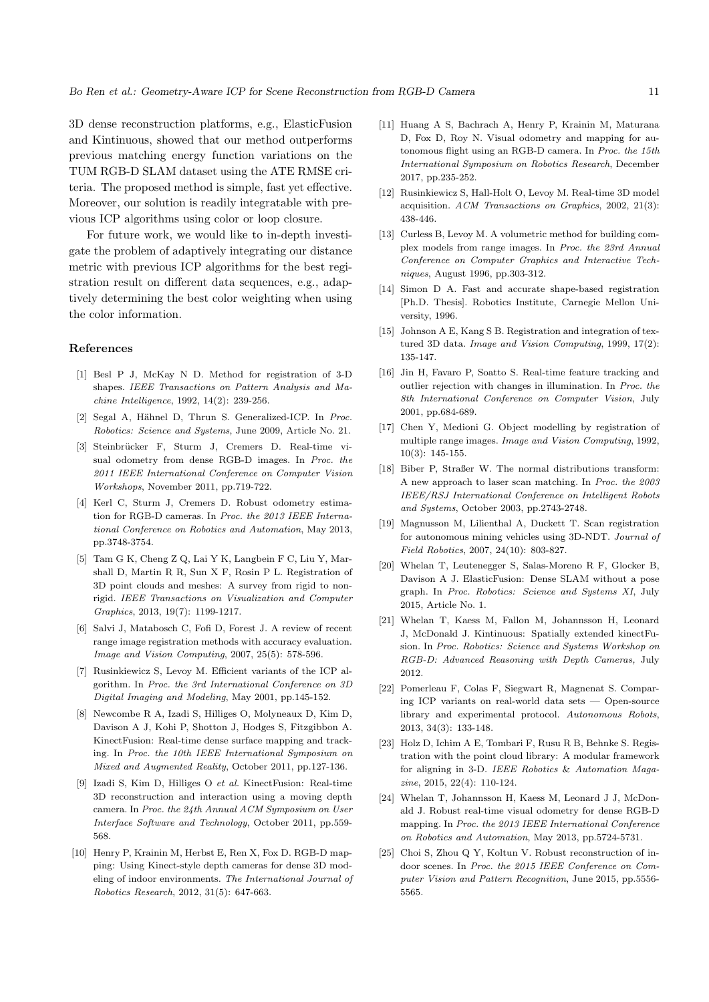3D dense reconstruction platforms, e.g., ElasticFusion and Kintinuous, showed that our method outperforms previous matching energy function variations on the TUM RGB-D SLAM dataset using the ATE RMSE criteria. The proposed method is simple, fast yet effective. Moreover, our solution is readily integratable with previous ICP algorithms using color or loop closure.

For future work, we would like to in-depth investigate the problem of adaptively integrating our distance metric with previous ICP algorithms for the best registration result on different data sequences, e.g., adaptively determining the best color weighting when using the color information.

#### **References**

- [1] Besl P J, McKay N D. Method for registration of 3-D shapes. *IEEE Transactions on Pattern Analysis and Machine Intelligence*, 1992, 14(2): 239-256.
- [2] Segal A, Hähnel D, Thrun S. Generalized-ICP. In *Proc. Robotics: Science and Systems*, June 2009, Article No. 21.
- [3] Steinbrücker F, Sturm J, Cremers D. Real-time visual odometry from dense RGB-D images. In *Proc. the 2011 IEEE International Conference on Computer Vision Workshops*, November 2011, pp.719-722.
- [4] Kerl C, Sturm J, Cremers D. Robust odometry estimation for RGB-D cameras. In *Proc. the 2013 IEEE International Conference on Robotics and Automation*, May 2013, pp.3748-3754.
- [5] Tam G K, Cheng Z Q, Lai Y K, Langbein F C, Liu Y, Marshall D, Martin R R, Sun X F, Rosin P L. Registration of 3D point clouds and meshes: A survey from rigid to nonrigid. *IEEE Transactions on Visualization and Computer Graphics*, 2013, 19(7): 1199-1217.
- [6] Salvi J, Matabosch C, Fofi D, Forest J. A review of recent range image registration methods with accuracy evaluation. *Image and Vision Computing*, 2007, 25(5): 578-596.
- [7] Rusinkiewicz S, Levoy M. Efficient variants of the ICP algorithm. In *Proc. the 3rd International Conference on 3D Digital Imaging and Modeling*, May 2001, pp.145-152.
- [8] Newcombe R A, Izadi S, Hilliges O, Molyneaux D, Kim D, Davison A J, Kohi P, Shotton J, Hodges S, Fitzgibbon A. KinectFusion: Real-time dense surface mapping and tracking. In *Proc. the 10th IEEE International Symposium on Mixed and Augmented Reality*, October 2011, pp.127-136.
- [9] Izadi S, Kim D, Hilliges O *et al.* KinectFusion: Real-time 3D reconstruction and interaction using a moving depth camera. In *Proc. the 24th Annual ACM Symposium on User Interface Software and Technology*, October 2011, pp.559- 568.
- [10] Henry P, Krainin M, Herbst E, Ren X, Fox D. RGB-D mapping: Using Kinect-style depth cameras for dense 3D modeling of indoor environments. *The International Journal of Robotics Research*, 2012, 31(5): 647-663.
- [11] Huang A S, Bachrach A, Henry P, Krainin M, Maturana D, Fox D, Roy N. Visual odometry and mapping for autonomous flight using an RGB-D camera. In *Proc. the 15th International Symposium on Robotics Research*, December 2017, pp.235-252.
- [12] Rusinkiewicz S, Hall-Holt O, Levoy M. Real-time 3D model acquisition. *ACM Transactions on Graphics*, 2002, 21(3): 438-446.
- [13] Curless B, Levoy M. A volumetric method for building complex models from range images. In *Proc. the 23rd Annual Conference on Computer Graphics and Interactive Techniques*, August 1996, pp.303-312.
- [14] Simon D A. Fast and accurate shape-based registration [Ph.D. Thesis]. Robotics Institute, Carnegie Mellon University, 1996.
- [15] Johnson A E, Kang S B. Registration and integration of textured 3D data. *Image and Vision Computing*, 1999, 17(2): 135-147.
- [16] Jin H, Favaro P, Soatto S. Real-time feature tracking and outlier rejection with changes in illumination. In *Proc. the 8th International Conference on Computer Vision*, July 2001, pp.684-689.
- [17] Chen Y, Medioni G. Object modelling by registration of multiple range images. *Image and Vision Computing*, 1992, 10(3): 145-155.
- [18] Biber P, Straßer W. The normal distributions transform: A new approach to laser scan matching. In *Proc. the 2003 IEEE/RSJ International Conference on Intelligent Robots and Systems*, October 2003, pp.2743-2748.
- [19] Magnusson M, Lilienthal A, Duckett T. Scan registration for autonomous mining vehicles using 3D-NDT. *Journal of Field Robotics*, 2007, 24(10): 803-827.
- [20] Whelan T, Leutenegger S, Salas-Moreno R F, Glocker B, Davison A J. ElasticFusion: Dense SLAM without a pose graph. In *Proc. Robotics: Science and Systems XI*, July 2015, Article No. 1.
- [21] Whelan T, Kaess M, Fallon M, Johannsson H, Leonard J, McDonald J. Kintinuous: Spatially extended kinectFusion. In *Proc. Robotics: Science and Systems Workshop on RGB-D: Advanced Reasoning with Depth Cameras,* July 2012.
- [22] Pomerleau F, Colas F, Siegwart R, Magnenat S. Comparing ICP variants on real-world data sets — Open-source library and experimental protocol. *Autonomous Robots*, 2013, 34(3): 133-148.
- [23] Holz D, Ichim A E, Tombari F, Rusu R B, Behnke S. Registration with the point cloud library: A modular framework for aligning in 3-D. *IEEE Robotics* & *Automation Magazine*, 2015, 22(4): 110-124.
- [24] Whelan T, Johannsson H, Kaess M, Leonard J J, McDonald J. Robust real-time visual odometry for dense RGB-D mapping. In *Proc. the 2013 IEEE International Conference on Robotics and Automation*, May 2013, pp.5724-5731.
- [25] Choi S, Zhou Q Y, Koltun V. Robust reconstruction of indoor scenes. In *Proc. the 2015 IEEE Conference on Computer Vision and Pattern Recognition*, June 2015, pp.5556- 5565.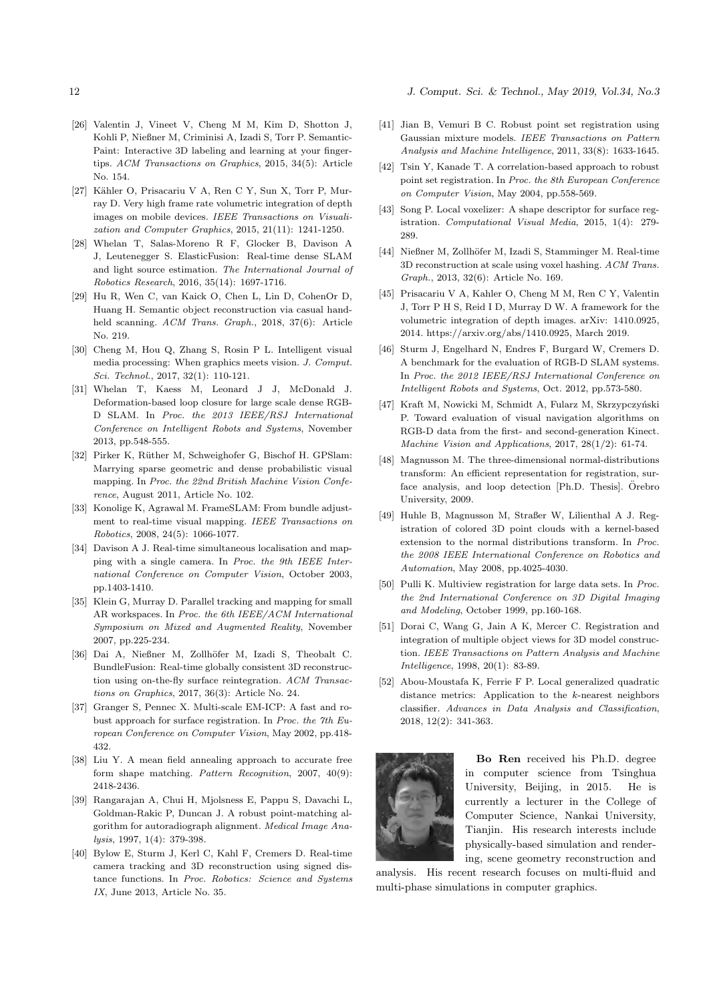12 *J. Comput. Sci. & Technol., May 2019, Vol.34, No.3*

- [26] Valentin J, Vineet V, Cheng M M, Kim D, Shotton J, Kohli P, Nießner M, Criminisi A, Izadi S, Torr P. Semantic-Paint: Interactive 3D labeling and learning at your fingertips. *ACM Transactions on Graphics*, 2015, 34(5): Article No. 154.
- [27] Kähler O, Prisacariu V A, Ren C Y, Sun X, Torr P, Murray D. Very high frame rate volumetric integration of depth images on mobile devices. *IEEE Transactions on Visualization and Computer Graphics*, 2015, 21(11): 1241-1250.
- [28] Whelan T, Salas-Moreno R F, Glocker B, Davison A J, Leutenegger S. ElasticFusion: Real-time dense SLAM and light source estimation. *The International Journal of Robotics Research*, 2016, 35(14): 1697-1716.
- [29] Hu R, Wen C, van Kaick O, Chen L, Lin D, CohenOr D, Huang H. Semantic object reconstruction via casual handheld scanning. *ACM Trans. Graph.*, 2018, 37(6): Article No. 219.
- [30] Cheng M, Hou Q, Zhang S, Rosin P L. Intelligent visual media processing: When graphics meets vision. *J. Comput. Sci. Technol.*, 2017, 32(1): 110-121.
- [31] Whelan T, Kaess M, Leonard J J, McDonald J. Deformation-based loop closure for large scale dense RGB-D SLAM. In *Proc. the 2013 IEEE/RSJ International Conference on Intelligent Robots and Systems*, November 2013, pp.548-555.
- [32] Pirker K, Rüther M, Schweighofer G, Bischof H. GPSlam: Marrying sparse geometric and dense probabilistic visual mapping. In *Proc. the 22nd British Machine Vision Conference*, August 2011, Article No. 102.
- [33] Konolige K, Agrawal M. FrameSLAM: From bundle adjustment to real-time visual mapping. *IEEE Transactions on Robotics*, 2008, 24(5): 1066-1077.
- [34] Davison A J. Real-time simultaneous localisation and mapping with a single camera. In *Proc. the 9th IEEE International Conference on Computer Vision*, October 2003, pp.1403-1410.
- [35] Klein G, Murray D. Parallel tracking and mapping for small AR workspaces. In *Proc. the 6th IEEE/ACM International Symposium on Mixed and Augmented Reality*, November 2007, pp.225-234.
- [36] Dai A, Nießner M, Zollhöfer M, Izadi S, Theobalt C. BundleFusion: Real-time globally consistent 3D reconstruction using on-the-fly surface reintegration. *ACM Transactions on Graphics*, 2017, 36(3): Article No. 24.
- [37] Granger S, Pennec X. Multi-scale EM-ICP: A fast and robust approach for surface registration. In *Proc. the 7th European Conference on Computer Vision*, May 2002, pp.418- 432.
- [38] Liu Y. A mean field annealing approach to accurate free form shape matching. *Pattern Recognition*, 2007, 40(9): 2418-2436.
- [39] Rangarajan A, Chui H, Mjolsness E, Pappu S, Davachi L, Goldman-Rakic P, Duncan J. A robust point-matching algorithm for autoradiograph alignment. *Medical Image Analysis*, 1997, 1(4): 379-398.
- [40] Bylow E, Sturm J, Kerl C, Kahl F, Cremers D. Real-time camera tracking and 3D reconstruction using signed distance functions. In *Proc. Robotics: Science and Systems IX*, June 2013, Article No. 35.
- [41] Jian B, Vemuri B C. Robust point set registration using Gaussian mixture models. *IEEE Transactions on Pattern Analysis and Machine Intelligence*, 2011, 33(8): 1633-1645.
- [42] Tsin Y, Kanade T. A correlation-based approach to robust point set registration. In *Proc. the 8th European Conference on Computer Vision*, May 2004, pp.558-569.
- [43] Song P. Local voxelizer: A shape descriptor for surface registration. *Computational Visual Media*, 2015, 1(4): 279- 289.
- [44] Nießner M, Zollhöfer M, Izadi S, Stamminger M. Real-time 3D reconstruction at scale using voxel hashing. *ACM Trans. Graph.*, 2013, 32(6): Article No. 169.
- [45] Prisacariu V A, Kahler O, Cheng M M, Ren C Y, Valentin J, Torr P H S, Reid I D, Murray D W. A framework for the volumetric integration of depth images. arXiv: 1410.0925, 2014. https://arxiv.org/abs/1410.0925, March 2019.
- [46] Sturm J, Engelhard N, Endres F, Burgard W, Cremers D. A benchmark for the evaluation of RGB-D SLAM systems. In *Proc. the 2012 IEEE/RSJ International Conference on Intelligent Robots and Systems*, Oct. 2012, pp.573-580.
- [47] Kraft M, Nowicki M, Schmidt A, Fularz M, Skrzypczyński P. Toward evaluation of visual navigation algorithms on RGB-D data from the first- and second-generation Kinect. *Machine Vision and Applications*, 2017, 28(1/2): 61-74.
- [48] Magnusson M. The three-dimensional normal-distributions transform: An efficient representation for registration, surface analysis, and loop detection [Ph.D. Thesis]. Örebro University, 2009.
- [49] Huhle B, Magnusson M, Straßer W, Lilienthal A J. Registration of colored 3D point clouds with a kernel-based extension to the normal distributions transform. In *Proc. the 2008 IEEE International Conference on Robotics and Automation*, May 2008, pp.4025-4030.
- [50] Pulli K. Multiview registration for large data sets. In *Proc. the 2nd International Conference on 3D Digital Imaging and Modeling*, October 1999, pp.160-168.
- [51] Dorai C, Wang G, Jain A K, Mercer C. Registration and integration of multiple object views for 3D model construction. *IEEE Transactions on Pattern Analysis and Machine Intelligence*, 1998, 20(1): 83-89.
- [52] Abou-Moustafa K, Ferrie F P. Local generalized quadratic distance metrics: Application to the *k*-nearest neighbors classifier. *Advances in Data Analysis and Classification*, 2018, 12(2): 341-363.



**Bo Ren** received his Ph.D. degree in computer science from Tsinghua University, Beijing, in 2015. He is currently a lecturer in the College of Computer Science, Nankai University, Tianjin. His research interests include physically-based simulation and rendering, scene geometry reconstruction and

analysis. His recent research focuses on multi-fluid and multi-phase simulations in computer graphics.